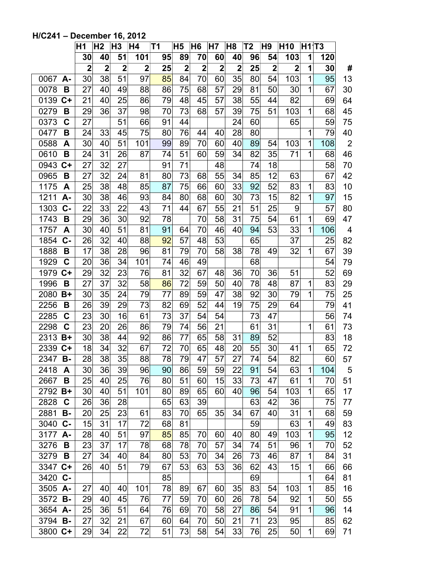|                     | Η1                      | H <sub>2</sub>          | H <sub>3</sub> | H4             | Τ1 | H5             | H <sub>6</sub> | H7             | H <sub>8</sub> | Τ2 | H <sub>9</sub> | H <sub>10</sub> | H1 T3 |     |                         |
|---------------------|-------------------------|-------------------------|----------------|----------------|----|----------------|----------------|----------------|----------------|----|----------------|-----------------|-------|-----|-------------------------|
|                     | 30                      | 40                      | 51             | 101            | 95 | 89             | 70             | 60             | 40             | 96 | 54             | 103             | 1     | 120 |                         |
|                     | $\overline{\mathbf{2}}$ | $\overline{\mathbf{2}}$ | $\overline{2}$ | $\overline{2}$ | 25 | $\overline{2}$ | $\overline{2}$ | $\overline{2}$ | $\overline{2}$ | 25 | $\mathbf 2$    | $\mathbf 2$     | 1     | 30  | #                       |
| 0067<br>А-          | 30                      | 38                      | 51             | 97             | 85 | 84             | 70             | 60             | 35             | 80 | 54             | 103             | 1     | 95  | 13                      |
| 0078<br>В           | 27                      | 40                      | 49             | 88             | 86 | 75             | 68             | 57             | 29             | 81 | 50             | 30              | 1     | 67  | 30                      |
| 0139<br>$C+$        | 21                      | 40                      | 25             | 86             | 79 | 48             | 45             | 57             | 38             | 55 | 44             | 82              |       | 69  | 64                      |
| 0279<br>В           | 29                      | 36                      | 37             | 98             | 70 | 73             | 68             | 57             | 39             | 75 | 51             | 103             | 1     | 68  | 45                      |
| $\mathbf C$<br>0373 | 27                      |                         | 51             | 66             | 91 | 44             |                |                | 24             | 60 |                | 65              |       | 59  | 75                      |
| 0477<br>B           | 24                      | 33                      | 45             | 75             | 80 | 76             | 44             | 40             | 28             | 80 |                |                 | 1     | 79  | 40                      |
| 0588<br>A           | 30                      | 40                      | 51             | 101            | 99 | 89             | 70             | 60             | 40             | 89 | 54             | 103             | 1     | 108 | $\mathbf{2}$            |
| 0610<br>B           | 24                      | 31                      | 26             | 87             | 74 | 51             | 60             | 59             | 34             | 82 | 35             | 71              | 1     | 68  | 46                      |
| 0943<br>$C+$        | 27                      | 32                      | 27             |                | 91 | 71             |                | 48             |                | 74 | 18             |                 |       | 58  | 70                      |
| 0965<br>В           | 27                      | 32                      | 24             | 81             | 80 | 73             | 68             | 55             | 34             | 85 | 12             | 63              |       | 67  | 42                      |
| 1175<br>A           | 25                      | 38                      | 48             | 85             | 87 | 75             | 66             | 60             | 33             | 92 | 52             | 83              | 1     | 83  | 10                      |
| 1211<br>A-          | 30                      | 38                      | 46             | 93             | 84 | 80             | 68             | 60             | 30             | 73 | 15             | 82              | 1     | 97  | 15                      |
| $C -$<br>1303       | 22                      | 33                      | 22             | 43             | 71 | 44             | 67             | 55             | 21             | 51 | 25             | 9               |       | 57  | 80                      |
| 1743<br>B           | 29                      | 36                      | 30             | 92             | 78 |                | 70             | 58             | 31             | 75 | 54             | 61              | 1     | 69  | 47                      |
| 1757<br>A           | 30                      | 40                      | 51             | 81             | 91 | 64             | 70             | 46             | 40             | 94 | 53             | 33              | 1     | 106 | $\overline{\mathbf{4}}$ |
| C-<br>1854          | 26                      | 32                      | 40             | 88             | 92 | 57             | 48             | 53             |                | 65 |                | 37              |       | 25  | 82                      |
| 1888<br>B           | 17                      | 38                      | 28             | 96             | 81 | 79             | 70             | 58             | 38             | 78 | 49             | 32              | 1     | 67  | 39                      |
| 1929<br>C           | 20                      | 36                      | 34             | 101            | 74 | 46             | 49             |                |                | 68 |                |                 |       | 54  | 79                      |
| 1979<br>$C+$        | 29                      | 32                      | 23             | 76             | 81 | 32             | 67             | 48             | 36             | 70 | 36             | 51              |       | 52  | 69                      |
| 1996<br>B           | 27                      | 37                      | 32             | 58             | 86 | 72             | 59             | 50             | 40             | 78 | 48             | 87              | 1     | 83  | 29                      |
| 2080<br>$B+$        | 30                      | 35                      | 24             | 79             | 77 | 89             | 59             | 47             | 38             | 92 | 30             | 79              | 1     | 75  | 25                      |
| 2256<br>В           | 26                      | 39                      | 29             | 73             | 82 | 69             | 52             | 44             | 19             | 75 | 29             | 64              |       | 79  | 41                      |
| 2285<br>C           | 23                      | 30                      | 16             | 61             | 73 | 37             | 54             | 54             |                | 73 | 47             |                 |       | 56  | 74                      |
| C<br>2298           | 23                      | 20                      | 26             | 86             | 79 | 74             | 56             | 21             |                | 61 | 31             |                 | 1     | 61  | 73                      |
| 2313<br>$B+$        | 30                      | 38                      | 44             | 92             | 86 | 77             | 65             | 58             | 31             | 89 | 52             |                 |       | 83  | 18                      |
| 2339<br>$C+$        | 18                      | 34                      | 32             | 67             | 72 | 70             | 65             | 48             | 20             | 55 | 30             | 41              | 1     | 65  | 72                      |
| 2347<br><b>B-</b>   | 28                      | 38                      | 35             | 88             | 78 | 79             | 47             | 57             | 27             | 74 | 54             | 82              |       | 60  | 57                      |
| 2418<br>A           | 30                      | 36                      | 39             | 96             | 90 | 86             | 59             | 59             | 22             | 91 | 54             | 63              | 1     | 104 | 5                       |
| 2667<br>В           | 25                      | 40                      | 25             | 76             | 80 | 51             | 60             | 15             | 33             | 73 | 47             | 61              | 1     | 70  | 51                      |
| 2792<br>$B+$        | 30                      | 40                      | 51             | 101            | 80 | 89             | 65             | 60             | 40             | 96 | 54             | 103             | 1     | 65  | 17                      |
| 2828<br>C           | 26                      | 36                      | 28             |                | 65 | 63             | 39             |                |                | 63 | 42             | 36              |       | 75  | 77                      |
| 2881<br><b>B-</b>   | 20                      | 25                      | 23             | 61             | 83 | 70             | 65             | 35             | 34             | 67 | 40             | 31              | 1     | 68  | 59                      |
| 3040<br>$C -$       | 15                      | 31                      | 17             | 72             | 68 | 81             |                |                |                | 59 |                | 63              | 1     | 49  | 83                      |
| 3177<br>А-          | 28                      | 40                      | 51             | 97             | 85 | 85             | 70             | 60             | 40             | 80 | 49             | 103             | 1     | 95  | 12                      |
| 3276<br>В           | 23                      | 37                      | 17             | 78             | 68 | 78             | 70             | 57             | 34             | 74 | 51             | 96              | 1     | 70  | 52                      |
| 3279<br>В           | 27                      | 34                      | 40             | 84             | 80 | 53             | 70             | 34             | 26             | 73 | 46             | 87              | 1     | 84  | 31                      |
| 3347<br>$C+$        | 26                      | 40                      | 51             | 79             | 67 | 53             | 63             | 53             | 36             | 62 | 43             | 15              | 1     | 66  | 66                      |
| 3420<br>$C -$       |                         |                         |                |                | 85 |                |                |                |                | 69 |                |                 | 1     | 64  | 81                      |
| 3505<br>A-          | 27                      | 40                      | 40             | 101            | 78 | 89             | 67             | 60             | 35             | 83 | 54             | 103             | 1     | 85  | 16                      |
| 3572<br>$B -$       | 29                      | 40                      | 45             | 76             | 77 | 59             | 70             | 60             | 26             | 78 | 54             | 92              | 1     | 50  | 55                      |
| 3654<br>$A -$       | 25                      | 36                      | 51             | 64             | 76 | 69             | 70             | 58             | 27             | 86 | 54             | 91              | 1     | 96  | 14                      |
| 3794<br>$B -$       | 27                      | 32                      | 21             | 67             | 60 | 64             | 70             | 50             | 21             | 71 | 23             | 95              |       | 85  | 62                      |
| 3800<br>$C+$        | 29                      | 34                      | 22             | 72             | 51 | 73             | 58             | 54             | 33             | 76 | 25             | 50              | 1     | 69  | 71                      |

## **H/C241 – December 16, 2012**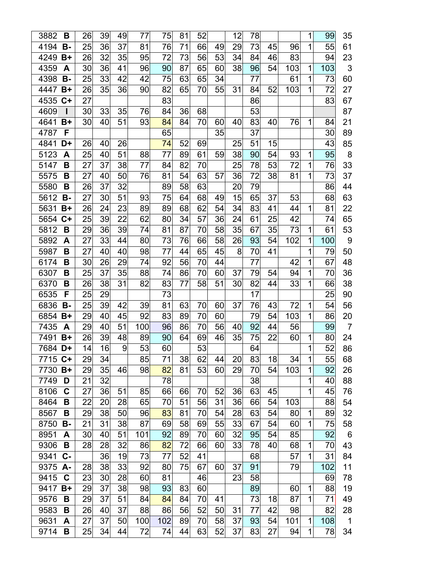| 3882    | В           | 26 | 39 | 49 | 77  | 75  | 81 | 52 |    | 12 | 78 |    |     | 1            | 99  | 35             |
|---------|-------------|----|----|----|-----|-----|----|----|----|----|----|----|-----|--------------|-----|----------------|
| 4194    | <b>B-</b>   | 25 | 36 | 37 | 81  | 76  | 71 | 66 | 49 | 29 | 73 | 45 | 96  | 1            | 55  | 61             |
| 4249    | B+          | 26 | 32 | 35 | 95  | 72  | 73 | 56 | 53 | 34 | 84 | 46 | 83  |              | 94  | 23             |
| 4359    | A           | 30 | 36 | 41 | 96  | 90  | 87 | 65 | 60 | 38 | 96 | 54 | 103 | 1            | 103 | 3              |
| 4398    | <b>B-</b>   | 25 | 33 | 42 | 42  | 75  | 63 | 65 | 34 |    | 77 |    | 61  | 1            | 73  | 60             |
| 4447    | $B+$        | 26 | 35 | 36 | 90  | 82  | 65 | 70 | 55 | 31 | 84 | 52 | 103 | 1            | 72  | 27             |
| 4535    | C+          | 27 |    |    |     | 83  |    |    |    |    | 86 |    |     |              | 83  | 67             |
| 4609    |             | 30 | 33 | 35 | 76  | 84  | 36 | 68 |    |    | 53 |    |     |              |     | 87             |
| 4641    | $B+$        | 30 | 40 | 51 | 93  | 84  | 84 | 70 | 60 | 40 | 83 | 40 | 76  | 1            | 84  | 21             |
| 4787    | F           |    |    |    |     | 65  |    |    | 35 |    | 37 |    |     |              | 30  | 89             |
| 4841    | D+          | 26 | 40 | 26 |     | 74  | 52 | 69 |    | 25 | 51 | 15 |     |              | 43  | 85             |
| 5123    | Α           | 25 | 40 | 51 | 88  | 77  | 89 | 61 | 59 | 38 | 90 | 54 | 93  | 1            | 95  | 8              |
| 5147    | B           | 27 | 37 | 38 | 77  | 84  | 82 | 70 |    | 25 | 78 | 53 | 72  | 1            | 76  | 33             |
| 5575    | B           | 27 | 40 | 50 | 76  | 81  | 54 | 63 | 57 | 36 | 72 | 38 | 81  | 1            | 73  | 37             |
| 5580    | B           | 26 | 37 | 32 |     | 89  | 58 | 63 |    | 20 | 79 |    |     |              | 86  | 44             |
| 5612    | В-          | 27 | 30 | 51 | 93  | 75  | 64 | 68 | 49 | 15 | 65 | 37 | 53  |              | 68  | 63             |
| 5631    | $B+$        | 26 | 24 | 23 | 89  | 89  | 68 | 62 | 54 | 34 | 83 | 41 | 44  | 1            | 81  | 22             |
| 5654    | $C+$        | 25 | 39 | 22 | 62  | 80  | 34 | 57 | 36 | 24 | 61 | 25 | 42  |              | 74  | 65             |
| 5812    | B           | 29 | 36 | 39 | 74  | 81  | 87 | 70 | 58 | 35 | 67 | 35 | 73  | 1            | 61  | 53             |
| 5892    | A           | 27 | 33 | 44 | 80  | 73  | 76 | 66 | 58 | 26 | 93 | 54 | 102 | 1            | 100 | 9              |
| 5987    | B           | 27 | 40 | 40 | 98  | 77  | 44 | 65 | 45 | 8  | 70 | 41 |     | 1            | 79  | 50             |
| 6174    | В           | 30 | 26 | 29 | 74  | 92  | 56 | 70 | 44 |    | 77 |    | 42  | 1            | 67  | 48             |
| 6307    | B           | 25 | 37 | 35 | 88  | 74  | 86 | 70 | 60 | 37 | 79 | 54 | 94  | 1            | 70  | 36             |
| 6370    | В           | 26 | 38 | 31 | 82  | 83  | 77 | 58 | 51 | 30 | 82 | 44 | 33  | 1            | 66  | 38             |
| 6535    | F           | 25 | 29 |    |     | 73  |    |    |    |    | 17 |    |     |              | 25  | 90             |
| 6836    | <b>B-</b>   | 25 | 39 | 42 | 39  | 81  | 63 | 70 | 60 | 37 | 76 | 43 | 72  | 1            | 54  | 56             |
| 6854    | $B+$        | 29 | 40 | 45 | 92  | 83  | 89 | 70 | 60 |    | 79 | 54 | 103 | 1            | 86  | 20             |
| 7435    | A           | 29 | 40 | 51 | 100 | 96  | 86 | 70 | 56 | 40 | 92 | 44 | 56  |              | 99  | $\overline{7}$ |
| 7491    | B+          | 26 | 39 | 48 | 89  | 90  | 64 | 69 | 46 | 35 | 75 | 22 | 60  | 1            | 80  | 24             |
| 7684    | D+          | 14 | 16 | 9  | 53  | 60  |    | 53 |    |    | 64 |    |     | 1            | 52  | 86             |
| 7715 C+ |             | 29 | 34 |    | 85  | 71  | 38 | 62 | 44 | 20 | 83 | 18 | 34  | 1            | 55  | 68             |
| 7730    | $B+$        | 29 | 35 | 46 | 98  | 82  | 81 | 53 | 60 | 29 | 70 | 54 | 103 | 1            | 92  | 26             |
| 7749    | D           | 21 | 32 |    |     | 78  |    |    |    |    | 38 |    |     | 1            | 40  | 88             |
| 8106    | C           | 27 | 36 | 51 | 85  | 66  | 66 | 70 | 52 | 36 | 63 | 45 |     | 1            | 45  | 76             |
| 8464    | В           | 22 | 20 | 28 | 65  | 70  | 51 | 56 | 31 | 36 | 66 | 54 | 103 |              | 88  | 54             |
| 8567    | В           | 29 | 38 | 50 | 96  | 83  | 81 | 70 | 54 | 28 | 63 | 54 | 80  | 1            | 89  | 32             |
| 8750    | <b>B-</b>   | 21 | 31 | 38 | 87  | 69  | 58 | 69 | 55 | 33 | 67 | 54 | 60  | 1            | 75  | 58             |
| 8951    | A           | 30 | 40 | 51 | 101 | 92  | 89 | 70 | 60 | 32 | 95 | 54 | 85  |              | 92  | 6              |
| 9306    | В           | 28 | 28 | 32 | 86  | 82  | 72 | 66 | 60 | 33 | 78 | 40 | 68  | 1            | 70  | 43             |
| 9341    | $c-$        |    | 36 | 19 | 73  | 77  | 52 | 41 |    |    | 68 |    | 57  | 1            | 31  | 84             |
| 9375    | А-          | 28 | 38 | 33 | 92  | 80  | 75 | 67 | 60 | 37 | 91 |    | 79  |              | 102 | 11             |
| 9415    | $\mathbf C$ | 23 | 30 | 28 | 60  | 81  |    | 46 |    | 23 | 58 |    |     |              | 69  | 78             |
| 9417    | $B+$        | 29 | 37 | 38 | 98  | 93  | 83 | 60 |    |    | 89 |    | 60  | 1            | 88  | 19             |
| 9576    | В           | 29 | 37 | 51 | 84  | 84  | 84 | 70 | 41 |    | 73 | 18 | 87  | 1            | 71  | 49             |
| 9583    | В           | 26 | 40 | 37 | 88  | 86  | 56 | 52 | 50 | 31 | 77 | 42 | 98  |              | 82  | 28             |
| 9631    | A           | 27 | 37 | 50 | 100 | 102 | 89 | 70 | 58 | 37 | 93 | 54 | 101 | $\mathbf{1}$ | 108 | $\mathbf 1$    |
| 9714    | В           | 25 | 34 | 44 | 72  | 74  | 44 | 63 | 52 | 37 | 83 | 27 | 94  | 1            | 78  | 34             |